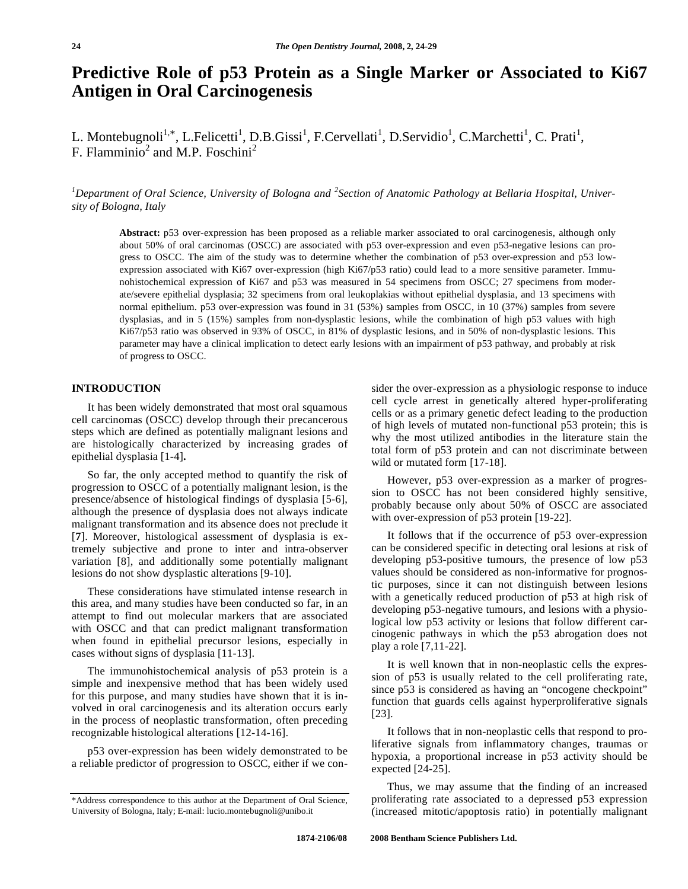# **Predictive Role of p53 Protein as a Single Marker or Associated to Ki67 Antigen in Oral Carcinogenesis**

L. Montebugnoli<sup>1,\*</sup>, L.Felicetti<sup>1</sup>, D.B.Gissi<sup>1</sup>, F.Cervellati<sup>1</sup>, D.Servidio<sup>1</sup>, C.Marchetti<sup>1</sup>, C. Prati<sup>1</sup>, F. Flamminio<sup>2</sup> and M.P. Foschini<sup>2</sup>

<sup>1</sup>Department of Oral Science, University of Bologna and <sup>2</sup>Section of Anatomic Pathology at Bellaria Hospital, Univer*sity of Bologna, Italy* 

**Abstract:** p53 over-expression has been proposed as a reliable marker associated to oral carcinogenesis, although only about 50% of oral carcinomas (OSCC) are associated with p53 over-expression and even p53-negative lesions can progress to OSCC. The aim of the study was to determine whether the combination of p53 over-expression and p53 lowexpression associated with Ki67 over-expression (high Ki67/p53 ratio) could lead to a more sensitive parameter. Immunohistochemical expression of Ki67 and p53 was measured in 54 specimens from OSCC; 27 specimens from moderate/severe epithelial dysplasia; 32 specimens from oral leukoplakias without epithelial dysplasia, and 13 specimens with normal epithelium. p53 over-expression was found in 31 (53%) samples from OSCC, in 10 (37%) samples from severe dysplasias, and in 5 (15%) samples from non-dysplastic lesions, while the combination of high p53 values with high Ki67/p53 ratio was observed in 93% of OSCC, in 81% of dysplastic lesions, and in 50% of non-dysplastic lesions. This parameter may have a clinical implication to detect early lesions with an impairment of p53 pathway, and probably at risk of progress to OSCC.

## **INTRODUCTION**

 It has been widely demonstrated that most oral squamous cell carcinomas (OSCC) develop through their precancerous steps which are defined as potentially malignant lesions and are histologically characterized by increasing grades of epithelial dysplasia [1-4]**.**

 So far, the only accepted method to quantify the risk of progression to OSCC of a potentially malignant lesion, is the presence/absence of histological findings of dysplasia [5-6], although the presence of dysplasia does not always indicate malignant transformation and its absence does not preclude it [**7**]. Moreover, histological assessment of dysplasia is extremely subjective and prone to inter and intra-observer variation [8], and additionally some potentially malignant lesions do not show dysplastic alterations [9-10].

 These considerations have stimulated intense research in this area, and many studies have been conducted so far, in an attempt to find out molecular markers that are associated with OSCC and that can predict malignant transformation when found in epithelial precursor lesions, especially in cases without signs of dysplasia [11-13].

 The immunohistochemical analysis of p53 protein is a simple and inexpensive method that has been widely used for this purpose, and many studies have shown that it is involved in oral carcinogenesis and its alteration occurs early in the process of neoplastic transformation, often preceding recognizable histological alterations [12-14-16].

 p53 over-expression has been widely demonstrated to be a reliable predictor of progression to OSCC, either if we consider the over-expression as a physiologic response to induce cell cycle arrest in genetically altered hyper-proliferating cells or as a primary genetic defect leading to the production of high levels of mutated non-functional p53 protein; this is why the most utilized antibodies in the literature stain the total form of p53 protein and can not discriminate between wild or mutated form [17-18].

 However, p53 over-expression as a marker of progression to OSCC has not been considered highly sensitive, probably because only about 50% of OSCC are associated with over-expression of p53 protein [19-22].

 It follows that if the occurrence of p53 over-expression can be considered specific in detecting oral lesions at risk of developing p53-positive tumours, the presence of low p53 values should be considered as non-informative for prognostic purposes, since it can not distinguish between lesions with a genetically reduced production of p53 at high risk of developing p53-negative tumours, and lesions with a physiological low p53 activity or lesions that follow different carcinogenic pathways in which the p53 abrogation does not play a role [7,11-22].

 It is well known that in non-neoplastic cells the expression of p53 is usually related to the cell proliferating rate, since p53 is considered as having an "oncogene checkpoint" function that guards cells against hyperproliferative signals [23].

 It follows that in non-neoplastic cells that respond to proliferative signals from inflammatory changes, traumas or hypoxia, a proportional increase in p53 activity should be expected [24-25].

 Thus, we may assume that the finding of an increased proliferating rate associated to a depressed p53 expression (increased mitotic/apoptosis ratio) in potentially malignant

<sup>\*</sup>Address correspondence to this author at the Department of Oral Science, University of Bologna, Italy; E-mail: lucio.montebugnoli@unibo.it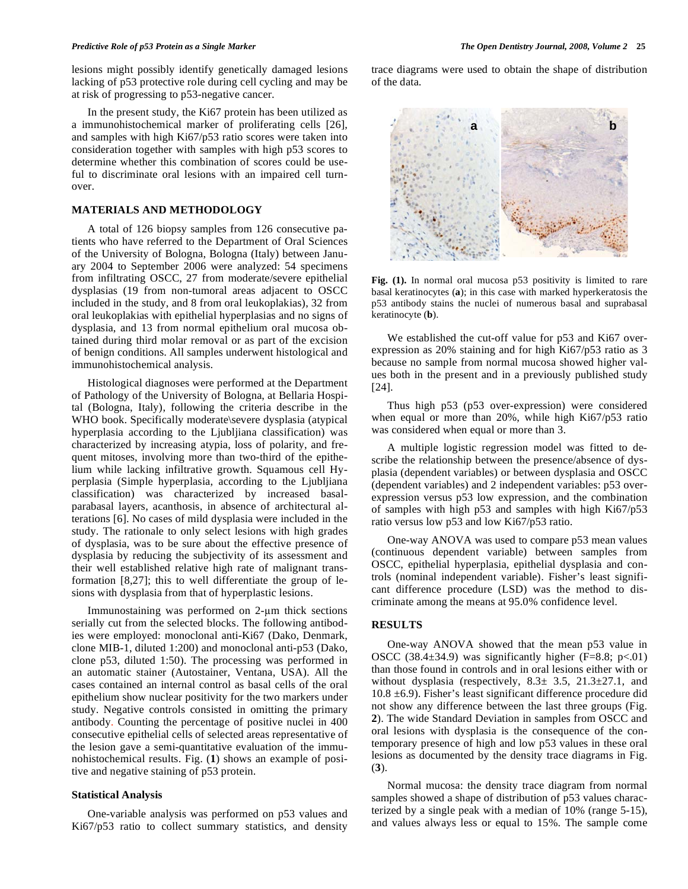lesions might possibly identify genetically damaged lesions lacking of p53 protective role during cell cycling and may be at risk of progressing to p53-negative cancer.

 In the present study, the Ki67 protein has been utilized as a immunohistochemical marker of proliferating cells [26], and samples with high Ki67/p53 ratio scores were taken into consideration together with samples with high p53 scores to determine whether this combination of scores could be useful to discriminate oral lesions with an impaired cell turnover.

### **MATERIALS AND METHODOLOGY**

 A total of 126 biopsy samples from 126 consecutive patients who have referred to the Department of Oral Sciences of the University of Bologna, Bologna (Italy) between January 2004 to September 2006 were analyzed: 54 specimens from infiltrating OSCC, 27 from moderate/severe epithelial dysplasias (19 from non-tumoral areas adjacent to OSCC included in the study, and 8 from oral leukoplakias), 32 from oral leukoplakias with epithelial hyperplasias and no signs of dysplasia, and 13 from normal epithelium oral mucosa obtained during third molar removal or as part of the excision of benign conditions. All samples underwent histological and immunohistochemical analysis.

 Histological diagnoses were performed at the Department of Pathology of the University of Bologna, at Bellaria Hospital (Bologna, Italy), following the criteria describe in the WHO book. Specifically moderate\severe dysplasia (atypical hyperplasia according to the Ljubljiana classification) was characterized by increasing atypia, loss of polarity, and frequent mitoses, involving more than two-third of the epithelium while lacking infiltrative growth. Squamous cell Hyperplasia (Simple hyperplasia, according to the Ljubljiana classification) was characterized by increased basalparabasal layers, acanthosis, in absence of architectural alterations [6]. No cases of mild dysplasia were included in the study. The rationale to only select lesions with high grades of dysplasia, was to be sure about the effective presence of dysplasia by reducing the subjectivity of its assessment and their well established relative high rate of malignant transformation [8,27]; this to well differentiate the group of lesions with dysplasia from that of hyperplastic lesions.

Immunostaining was performed on  $2-\mu m$  thick sections serially cut from the selected blocks. The following antibodies were employed: monoclonal anti-Ki67 (Dako, Denmark, clone MIB-1, diluted 1:200) and monoclonal anti-p53 (Dako, clone p53, diluted 1:50). The processing was performed in an automatic stainer (Autostainer, Ventana, USA). All the cases contained an internal control as basal cells of the oral epithelium show nuclear positivity for the two markers under study. Negative controls consisted in omitting the primary antibody. Counting the percentage of positive nuclei in 400 consecutive epithelial cells of selected areas representative of the lesion gave a semi-quantitative evaluation of the immunohistochemical results. Fig. (**1**) shows an example of positive and negative staining of p53 protein.

### **Statistical Analysis**

 One-variable analysis was performed on p53 values and Ki67/p53 ratio to collect summary statistics, and density

trace diagrams were used to obtain the shape of distribution of the data.



**Fig. (1).** In normal oral mucosa p53 positivity is limited to rare basal keratinocytes (**a**); in this case with marked hyperkeratosis the p53 antibody stains the nuclei of numerous basal and suprabasal keratinocyte (**b**).

 We established the cut-off value for p53 and Ki67 overexpression as 20% staining and for high Ki67/p53 ratio as 3 because no sample from normal mucosa showed higher values both in the present and in a previously published study [24].

 Thus high p53 (p53 over-expression) were considered when equal or more than 20%, while high Ki67/p53 ratio was considered when equal or more than 3.

 A multiple logistic regression model was fitted to describe the relationship between the presence/absence of dysplasia (dependent variables) or between dysplasia and OSCC (dependent variables) and 2 independent variables: p53 overexpression versus p53 low expression, and the combination of samples with high p53 and samples with high Ki67/p53 ratio versus low p53 and low Ki67/p53 ratio.

 One-way ANOVA was used to compare p53 mean values (continuous dependent variable) between samples from OSCC, epithelial hyperplasia, epithelial dysplasia and controls (nominal independent variable). Fisher's least significant difference procedure (LSD) was the method to discriminate among the means at 95.0% confidence level.

#### **RESULTS**

 One-way ANOVA showed that the mean p53 value in OSCC (38.4 $\pm$ 34.9) was significantly higher (F=8.8; p<.01) than those found in controls and in oral lesions either with or without dysplasia (respectively,  $8.3 \pm 3.5$ ,  $21.3 \pm 27.1$ , and 10.8 ±6.9). Fisher's least significant difference procedure did not show any difference between the last three groups (Fig. **2**). The wide Standard Deviation in samples from OSCC and oral lesions with dysplasia is the consequence of the contemporary presence of high and low p53 values in these oral lesions as documented by the density trace diagrams in Fig. (**3**).

 Normal mucosa: the density trace diagram from normal samples showed a shape of distribution of p53 values characterized by a single peak with a median of 10% (range 5-15), and values always less or equal to 15%. The sample come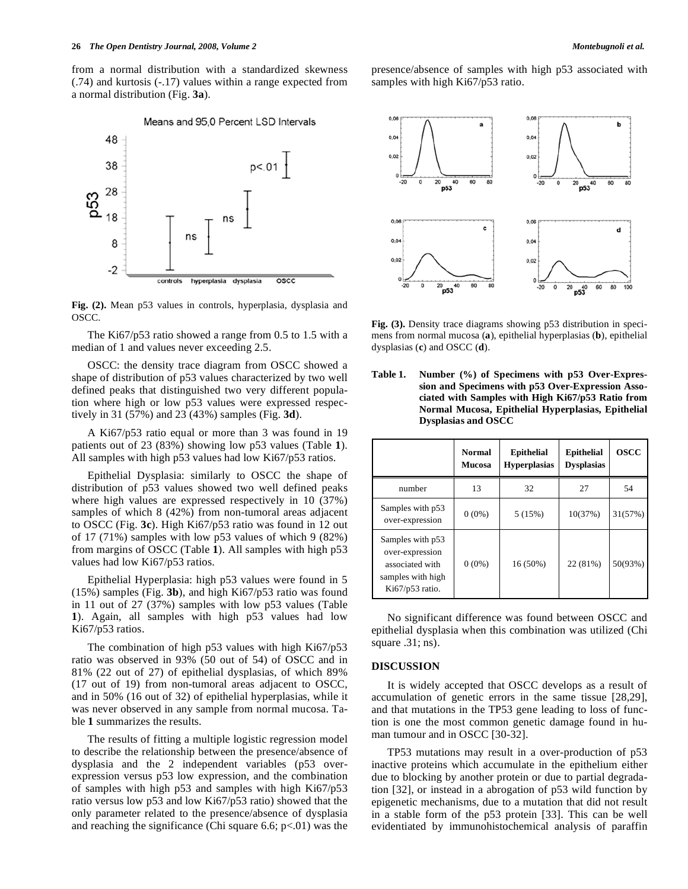from a normal distribution with a standardized skewness (.74) and kurtosis (-.17) values within a range expected from a normal distribution (Fig. **3a**).



**Fig. (2).** Mean p53 values in controls, hyperplasia, dysplasia and OSCC.

 The Ki67/p53 ratio showed a range from 0.5 to 1.5 with a median of 1 and values never exceeding 2.5.

 OSCC: the density trace diagram from OSCC showed a shape of distribution of p53 values characterized by two well defined peaks that distinguished two very different population where high or low p53 values were expressed respectively in 31 (57%) and 23 (43%) samples (Fig. **3d**).

 A Ki67/p53 ratio equal or more than 3 was found in 19 patients out of 23 (83%) showing low p53 values (Table **1**). All samples with high p53 values had low Ki67/p53 ratios.

 Epithelial Dysplasia: similarly to OSCC the shape of distribution of p53 values showed two well defined peaks where high values are expressed respectively in 10 (37%) samples of which 8 (42%) from non-tumoral areas adjacent to OSCC (Fig. **3c**). High Ki67/p53 ratio was found in 12 out of 17 (71%) samples with low p53 values of which 9 (82%) from margins of OSCC (Table **1**). All samples with high p53 values had low Ki67/p53 ratios.

 Epithelial Hyperplasia: high p53 values were found in 5 (15%) samples (Fig. **3b**), and high Ki67/p53 ratio was found in 11 out of 27 (37%) samples with low p53 values (Table **1**). Again, all samples with high p53 values had low Ki67/p53 ratios.

 The combination of high p53 values with high Ki67/p53 ratio was observed in 93% (50 out of 54) of OSCC and in 81% (22 out of 27) of epithelial dysplasias, of which 89% (17 out of 19) from non-tumoral areas adjacent to OSCC, and in 50% (16 out of 32) of epithelial hyperplasias, while it was never observed in any sample from normal mucosa. Table **1** summarizes the results.

 The results of fitting a multiple logistic regression model to describe the relationship between the presence/absence of dysplasia and the 2 independent variables (p53 overexpression versus p53 low expression, and the combination of samples with high p53 and samples with high Ki67/p53 ratio versus low p53 and low Ki67/p53 ratio) showed that the only parameter related to the presence/absence of dysplasia and reaching the significance (Chi square 6.6;  $p<01$ ) was the presence/absence of samples with high p53 associated with samples with high Ki67/p53 ratio.



**Fig. (3).** Density trace diagrams showing p53 distribution in specimens from normal mucosa (**a**), epithelial hyperplasias (**b**), epithelial dysplasias (**c**) and OSCC (**d**).

**Table 1. Number (%) of Specimens with p53 Over-Expression and Specimens with p53 Over-Expression Associated with Samples with High Ki67/p53 Ratio from Normal Mucosa, Epithelial Hyperplasias, Epithelial Dysplasias and OSCC** 

|                                                                                                | <b>Normal</b><br><b>Mucosa</b> | <b>Epithelial</b><br><b>Hyperplasias</b> | <b>Epithelial</b><br><b>Dysplasias</b> | <b>OSCC</b> |
|------------------------------------------------------------------------------------------------|--------------------------------|------------------------------------------|----------------------------------------|-------------|
| number                                                                                         | 13                             | 32                                       | 27                                     | 54          |
| Samples with p53<br>over-expression                                                            | $0(0\%)$                       | 5(15%)                                   | 10(37%)                                | 31(57%)     |
| Samples with p53<br>over-expression<br>associated with<br>samples with high<br>Ki67/p53 ratio. | $0(0\%)$                       | 16 (50%)                                 | 22 (81%)                               | 50(93%)     |

 No significant difference was found between OSCC and epithelial dysplasia when this combination was utilized (Chi square .31; ns).

#### **DISCUSSION**

 It is widely accepted that OSCC develops as a result of accumulation of genetic errors in the same tissue [28,29], and that mutations in the TP53 gene leading to loss of function is one the most common genetic damage found in human tumour and in OSCC [30-32].

 TP53 mutations may result in a over-production of p53 inactive proteins which accumulate in the epithelium either due to blocking by another protein or due to partial degradation [32], or instead in a abrogation of p53 wild function by epigenetic mechanisms, due to a mutation that did not result in a stable form of the p53 protein [33]. This can be well evidentiated by immunohistochemical analysis of paraffin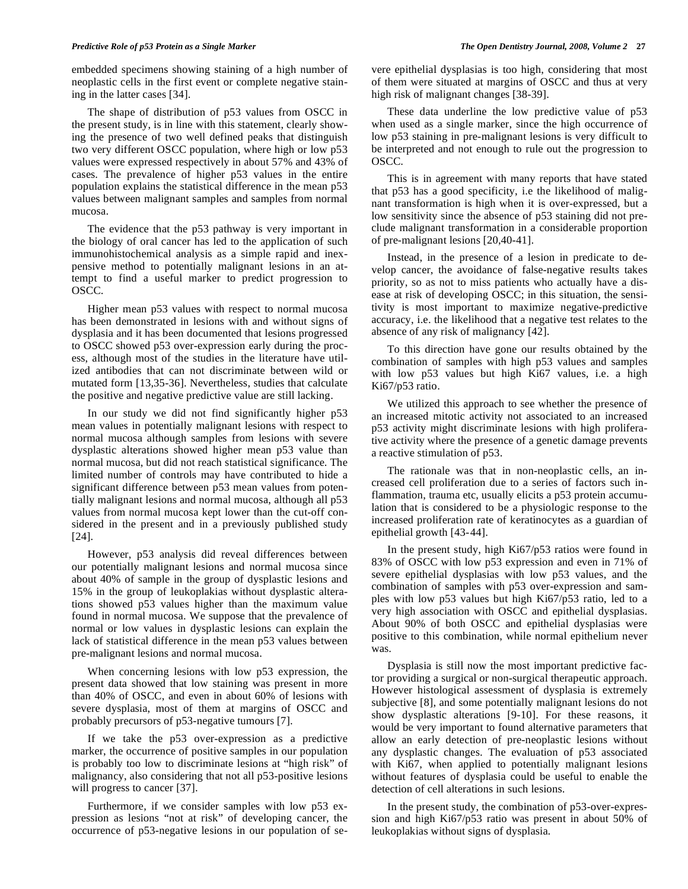embedded specimens showing staining of a high number of neoplastic cells in the first event or complete negative staining in the latter cases [34].

 The shape of distribution of p53 values from OSCC in the present study, is in line with this statement, clearly showing the presence of two well defined peaks that distinguish two very different OSCC population, where high or low p53 values were expressed respectively in about 57% and 43% of cases. The prevalence of higher p53 values in the entire population explains the statistical difference in the mean p53 values between malignant samples and samples from normal mucosa.

 The evidence that the p53 pathway is very important in the biology of oral cancer has led to the application of such immunohistochemical analysis as a simple rapid and inexpensive method to potentially malignant lesions in an attempt to find a useful marker to predict progression to OSCC.

 Higher mean p53 values with respect to normal mucosa has been demonstrated in lesions with and without signs of dysplasia and it has been documented that lesions progressed to OSCC showed p53 over-expression early during the process, although most of the studies in the literature have utilized antibodies that can not discriminate between wild or mutated form [13,35-36]. Nevertheless, studies that calculate the positive and negative predictive value are still lacking.

 In our study we did not find significantly higher p53 mean values in potentially malignant lesions with respect to normal mucosa although samples from lesions with severe dysplastic alterations showed higher mean p53 value than normal mucosa, but did not reach statistical significance. The limited number of controls may have contributed to hide a significant difference between p53 mean values from potentially malignant lesions and normal mucosa, although all p53 values from normal mucosa kept lower than the cut-off considered in the present and in a previously published study [24].

 However, p53 analysis did reveal differences between our potentially malignant lesions and normal mucosa since about 40% of sample in the group of dysplastic lesions and 15% in the group of leukoplakias without dysplastic alterations showed p53 values higher than the maximum value found in normal mucosa. We suppose that the prevalence of normal or low values in dysplastic lesions can explain the lack of statistical difference in the mean p53 values between pre-malignant lesions and normal mucosa.

 When concerning lesions with low p53 expression, the present data showed that low staining was present in more than 40% of OSCC, and even in about 60% of lesions with severe dysplasia, most of them at margins of OSCC and probably precursors of p53-negative tumours [7].

 If we take the p53 over-expression as a predictive marker, the occurrence of positive samples in our population is probably too low to discriminate lesions at "high risk" of malignancy, also considering that not all p53-positive lesions will progress to cancer [37].

 Furthermore, if we consider samples with low p53 expression as lesions "not at risk" of developing cancer, the occurrence of p53-negative lesions in our population of severe epithelial dysplasias is too high, considering that most of them were situated at margins of OSCC and thus at very high risk of malignant changes [38-39].

 These data underline the low predictive value of p53 when used as a single marker, since the high occurrence of low p53 staining in pre-malignant lesions is very difficult to be interpreted and not enough to rule out the progression to OSCC.

 This is in agreement with many reports that have stated that p53 has a good specificity, i.e the likelihood of malignant transformation is high when it is over-expressed, but a low sensitivity since the absence of p53 staining did not preclude malignant transformation in a considerable proportion of pre-malignant lesions [20,40-41].

 Instead, in the presence of a lesion in predicate to develop cancer, the avoidance of false-negative results takes priority, so as not to miss patients who actually have a disease at risk of developing OSCC; in this situation, the sensitivity is most important to maximize negative-predictive accuracy, i.e. the likelihood that a negative test relates to the absence of any risk of malignancy [42].

 To this direction have gone our results obtained by the combination of samples with high p53 values and samples with low p53 values but high Ki67 values, i.e. a high Ki67/p53 ratio.

 We utilized this approach to see whether the presence of an increased mitotic activity not associated to an increased p53 activity might discriminate lesions with high proliferative activity where the presence of a genetic damage prevents a reactive stimulation of p53.

 The rationale was that in non-neoplastic cells, an increased cell proliferation due to a series of factors such inflammation, trauma etc, usually elicits a p53 protein accumulation that is considered to be a physiologic response to the increased proliferation rate of keratinocytes as a guardian of epithelial growth [43-44].

 In the present study, high Ki67/p53 ratios were found in 83% of OSCC with low p53 expression and even in 71% of severe epithelial dysplasias with low p53 values, and the combination of samples with p53 over-expression and samples with low p53 values but high Ki67/p53 ratio, led to a very high association with OSCC and epithelial dysplasias. About 90% of both OSCC and epithelial dysplasias were positive to this combination, while normal epithelium never was.

 Dysplasia is still now the most important predictive factor providing a surgical or non-surgical therapeutic approach. However histological assessment of dysplasia is extremely subjective [8], and some potentially malignant lesions do not show dysplastic alterations [9-10]. For these reasons, it would be very important to found alternative parameters that allow an early detection of pre-neoplastic lesions without any dysplastic changes. The evaluation of p53 associated with Ki67, when applied to potentially malignant lesions without features of dysplasia could be useful to enable the detection of cell alterations in such lesions.

 In the present study, the combination of p53-over-expression and high Ki67/p53 ratio was present in about 50% of leukoplakias without signs of dysplasia.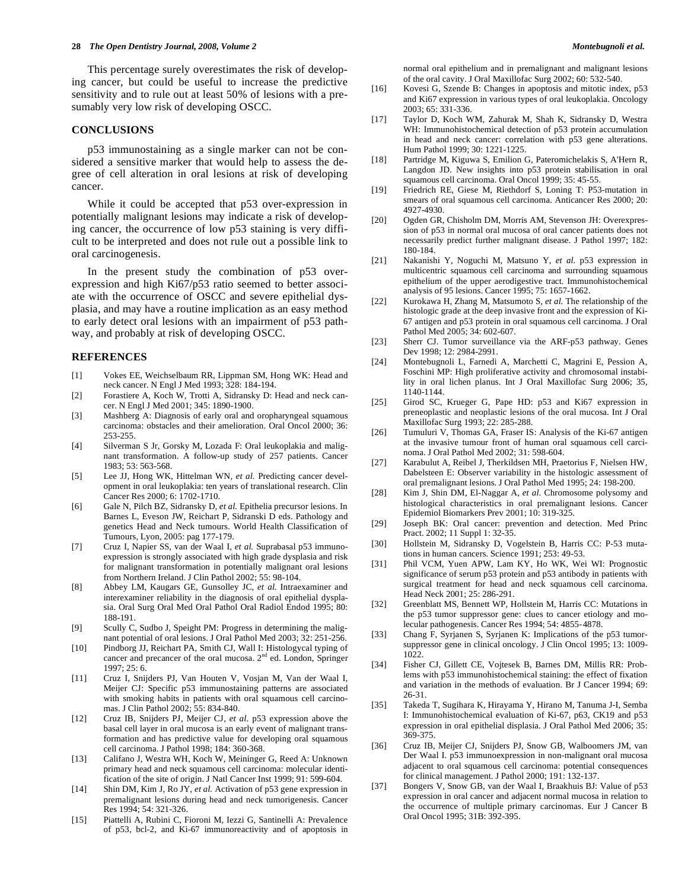This percentage surely overestimates the risk of developing cancer, but could be useful to increase the predictive sensitivity and to rule out at least 50% of lesions with a presumably very low risk of developing OSCC.

#### **CONCLUSIONS**

 p53 immunostaining as a single marker can not be considered a sensitive marker that would help to assess the degree of cell alteration in oral lesions at risk of developing cancer.

 While it could be accepted that p53 over-expression in potentially malignant lesions may indicate a risk of developing cancer, the occurrence of low p53 staining is very difficult to be interpreted and does not rule out a possible link to oral carcinogenesis.

 In the present study the combination of p53 overexpression and high Ki67/p53 ratio seemed to better associate with the occurrence of OSCC and severe epithelial dysplasia, and may have a routine implication as an easy method to early detect oral lesions with an impairment of p53 pathway, and probably at risk of developing OSCC.

#### **REFERENCES**

- [1] Vokes EE, Weichselbaum RR, Lippman SM, Hong WK: Head and neck cancer. N Engl J Med 1993; 328: 184-194.
- [2] Forastiere A, Koch W, Trotti A, Sidransky D: Head and neck cancer. N Engl J Med 2001; 345: 1890-1900.
- [3] Mashberg A: Diagnosis of early oral and oropharyngeal squamous carcinoma: obstacles and their amelioration. Oral Oncol 2000; 36: 253-255.
- [4] Silverman S Jr, Gorsky M, Lozada F: Oral leukoplakia and malignant transformation. A follow-up study of 257 patients. Cancer 1983; 53: 563-568.
- [5] Lee JJ, Hong WK, Hittelman WN, et al. Predicting cancer development in oral leukoplakia: ten years of translational research. Clin Cancer Res 2000; 6: 1702-1710.
- [6] Gale N, Pilch BZ, Sidransky D*, et al.* Epithelia precursor lesions. In Barnes L, Eveson JW, Reichart P, Sidranski D eds. Pathology and genetics Head and Neck tumours. World Health Classification of Tumours, Lyon, 2005: pag 177-179.
- [7] Cruz I, Napier SS, van der Waal I*, et al.* Suprabasal p53 immunoexpression is strongly associated with high grade dysplasia and risk for malignant transformation in potentially malignant oral lesions from Northern Ireland. J Clin Pathol 2002; 55: 98-104.
- [8] Abbey LM, Kaugars GE, Gunsolley JC*, et al.* Intraexaminer and interexaminer reliability in the diagnosis of oral epithelial dysplasia. Oral Surg Oral Med Oral Pathol Oral Radiol Endod 1995; 80: 188-191.
- [9] Scully C, Sudbo J, Speight PM: Progress in determining the malignant potential of oral lesions. J Oral Pathol Med 2003; 32: 251-256.
- [10] Pindborg JJ, Reichart PA, Smith CJ, Wall I: Histologycal typing of cancer and precancer of the oral mucosa.  $2<sup>nd</sup>$  ed. London, Springer 1997; 25: 6.
- [11] Cruz I, Snijders PJ, Van Houten V, Vosjan M, Van der Waal I, Meijer CJ: Specific p53 immunostaining patterns are associated with smoking habits in patients with oral squamous cell carcinomas. J Clin Pathol 2002; 55: 834-840.
- [12] Cruz IB, Snijders PJ, Meijer CJ*, et al.* p53 expression above the basal cell layer in oral mucosa is an early event of malignant transformation and has predictive value for developing oral squamous cell carcinoma. J Pathol 1998; 184: 360-368.
- [13] Califano J, Westra WH, Koch W, Meininger G, Reed A: Unknown primary head and neck squamous cell carcinoma: molecular identification of the site of origin. J Natl Cancer Inst 1999; 91: 599-604.
- [14] Shin DM, Kim J, Ro JY*, et al.* Activation of p53 gene expression in premalignant lesions during head and neck tumorigenesis. Cancer Res 1994; 54: 321-326.
- [15] Piattelli A, Rubini C, Fioroni M, Iezzi G, Santinelli A: Prevalence of p53, bcl-2, and Ki-67 immunoreactivity and of apoptosis in

normal oral epithelium and in premalignant and malignant lesions of the oral cavity. J Oral Maxillofac Surg 2002; 60: 532-540.

- [16] Kovesi G, Szende B: Changes in apoptosis and mitotic index, p53 and Ki67 expression in various types of oral leukoplakia. Oncology 2003; 65: 331-336.
- [17] Taylor D, Koch WM, Zahurak M, Shah K, Sidransky D, Westra WH: Immunohistochemical detection of p53 protein accumulation in head and neck cancer: correlation with p53 gene alterations. Hum Pathol 1999; 30: 1221-1225.
- [18] Partridge M, Kiguwa S, Emilion G, Pateromichelakis S, A'Hern R, Langdon JD. New insights into p53 protein stabilisation in oral squamous cell carcinoma. Oral Oncol 1999; 35: 45-55.
- [19] Friedrich RE, Giese M, Riethdorf S, Loning T: P53-mutation in smears of oral squamous cell carcinoma. Anticancer Res 2000; 20: 4927-4930.
- [20] Ogden GR, Chisholm DM, Morris AM, Stevenson JH: Overexpression of p53 in normal oral mucosa of oral cancer patients does not necessarily predict further malignant disease. J Pathol 1997; 182: 180-184.
- [21] Nakanishi Y, Noguchi M, Matsuno Y*, et al.* p53 expression in multicentric squamous cell carcinoma and surrounding squamous epithelium of the upper aerodigestive tract. Immunohistochemical analysis of 95 lesions. Cancer 1995; 75: 1657-1662.
- [22] Kurokawa H, Zhang M, Matsumoto S*, et al.* The relationship of the histologic grade at the deep invasive front and the expression of Ki-67 antigen and p53 protein in oral squamous cell carcinoma. J Oral Pathol Med 2005; 34: 602-607.
- [23] Sherr CJ. Tumor surveillance via the ARF-p53 pathway. Genes Dev 1998; 12: 2984-2991.
- [24] Montebugnoli L, Farnedi A, Marchetti C, Magrini E, Pession A, Foschini MP: High proliferative activity and chromosomal instability in oral lichen planus. Int J Oral Maxillofac Surg 2006; 35, 1140-1144.
- [25] Girod SC, Krueger G, Pape HD: p53 and Ki67 expression in preneoplastic and neoplastic lesions of the oral mucosa. Int J Oral Maxillofac Surg 1993; 22: 285-288.
- [26] Tumuluri V, Thomas GA, Fraser IS: Analysis of the Ki-67 antigen at the invasive tumour front of human oral squamous cell carcinoma. J Oral Pathol Med 2002; 31: 598-604.
- [27] Karabulut A, Reibel J, Therkildsen MH, Praetorius F, Nielsen HW, Dabelsteen E: Observer variability in the histologic assessment of oral premalignant lesions. J Oral Pathol Med 1995; 24: 198-200.
- [28] Kim J, Shin DM, El-Naggar A*, et al.* Chromosome polysomy and histological characteristics in oral premalignant lesions. Cancer Epidemiol Biomarkers Prev 2001; 10: 319-325.
- [29] Joseph BK: Oral cancer: prevention and detection. Med Princ Pract. 2002; 11 Suppl 1: 32-35.
- [30] Hollstein M, Sidransky D, Vogelstein B, Harris CC: P-53 mutations in human cancers. Science 1991; 253: 49-53.
- [31] Phil VCM, Yuen APW, Lam KY, Ho WK, Wei WI: Prognostic significance of serum p53 protein and p53 antibody in patients with surgical treatment for head and neck squamous cell carcinoma. Head Neck 2001; 25: 286-291.
- [32] Greenblatt MS, Bennett WP, Hollstein M, Harris CC: Mutations in the p53 tumor suppressor gene: clues to cancer etiology and molecular pathogenesis. Cancer Res 1994; 54: 4855-4878.
- [33] Chang F, Syrjanen S, Syrjanen K: Implications of the p53 tumorsuppressor gene in clinical oncology. J Clin Oncol 1995; 13: 1009- 1022.
- [34] Fisher CJ, Gillett CE, Vojtesek B, Barnes DM, Millis RR: Problems with p53 immunohistochemical staining: the effect of fixation and variation in the methods of evaluation. Br J Cancer 1994; 69: 26-31.
- [35] Takeda T, Sugihara K, Hirayama Y, Hirano M, Tanuma J-I, Semba I: Immunohistochemical evaluation of Ki-67, p63, CK19 and p53 expression in oral epithelial displasia. J Oral Pathol Med 2006; 35: 369-375.
- [36] Cruz IB, Meijer CJ, Snijders PJ, Snow GB, Walboomers JM, van Der Waal I. p53 immunoexpression in non-malignant oral mucosa adjacent to oral squamous cell carcinoma: potential consequences for clinical management. J Pathol 2000; 191: 132-137.
- [37] Bongers V, Snow GB, van der Waal I, Braakhuis BJ: Value of p53 expression in oral cancer and adjacent normal mucosa in relation to the occurrence of multiple primary carcinomas. Eur J Cancer B Oral Oncol 1995; 31B: 392-395.